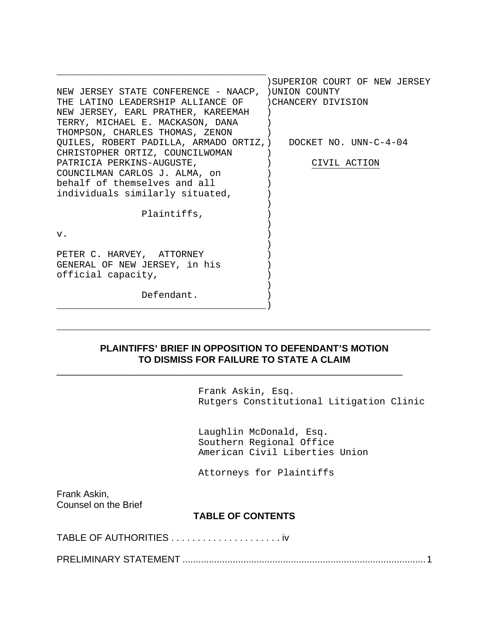|                                                               | SUPERIOR COURT OF NEW JERSEY |
|---------------------------------------------------------------|------------------------------|
| NEW JERSEY STATE CONFERENCE - NAACP, ) UNION COUNTY           |                              |
| THE LATINO LEADERSHIP ALLIANCE OF DICHANCERY DIVISION         |                              |
| NEW JERSEY, EARL PRATHER, KAREEMAH                            |                              |
| TERRY, MICHAEL E. MACKASON, DANA                              |                              |
| THOMPSON, CHARLES THOMAS, ZENON                               |                              |
| QUILES, ROBERT PADILLA, ARMADO ORTIZ, ) DOCKET NO. UNN-C-4-04 |                              |
| CHRISTOPHER ORTIZ, COUNCILWOMAN                               |                              |
| PATRICIA PERKINS-AUGUSTE,                                     | CIVIL ACTION                 |
| COUNCILMAN CARLOS J. ALMA, on                                 |                              |
| behalf of themselves and all                                  |                              |
| individuals similarly situated,                               |                              |
|                                                               |                              |
| Plaintiffs,                                                   |                              |
|                                                               |                              |
| v.                                                            |                              |
|                                                               |                              |
| PETER C. HARVEY, ATTORNEY                                     |                              |
| GENERAL OF NEW JERSEY, in his                                 |                              |
| official capacity,                                            |                              |
|                                                               |                              |
| Defendant.                                                    |                              |
|                                                               |                              |

#### **PLAINTIFFS' BRIEF IN OPPOSITION TO DEFENDANT'S MOTION TO DISMISS FOR FAILURE TO STATE A CLAIM**

\_\_\_\_\_\_\_\_\_\_\_\_\_\_\_\_\_\_\_\_\_\_\_\_\_\_\_\_\_\_\_\_\_\_\_\_\_\_\_\_\_\_\_\_\_\_\_\_\_\_\_\_\_\_\_\_\_\_\_\_\_\_\_\_\_\_

 $\overline{\phantom{a}}$  , and the contract of the contract of the contract of the contract of the contract of the contract of the contract of the contract of the contract of the contract of the contract of the contract of the contrac

Frank Askin, Esq. Rutgers Constitutional Litigation Clinic

Laughlin McDonald, Esq. Southern Regional Office American Civil Liberties Union

Attorneys for Plaintiffs

Frank Askin, Counsel on the Brief

#### **TABLE OF CONTENTS**

TABLE OF AUTHORITIES . . . . . . . . . . . . . . . . . . . . . iv

PRELIMINARY STATEMENT ............................................................................................1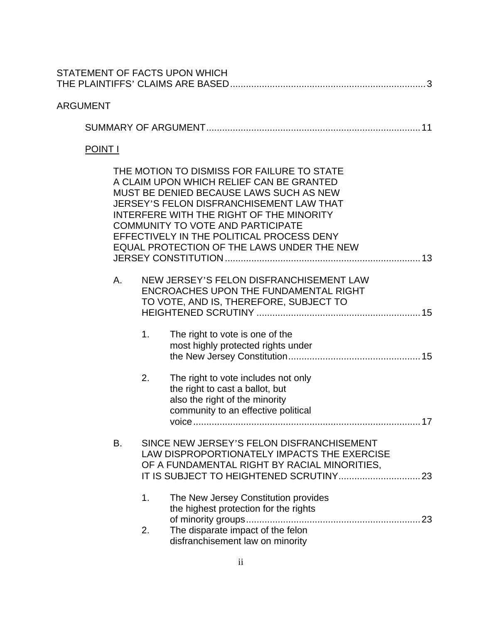|                |    |    | STATEMENT OF FACTS UPON WHICH                                                                                                                                                                                                                                                                                                                                    |    |
|----------------|----|----|------------------------------------------------------------------------------------------------------------------------------------------------------------------------------------------------------------------------------------------------------------------------------------------------------------------------------------------------------------------|----|
| ARGUMENT       |    |    |                                                                                                                                                                                                                                                                                                                                                                  |    |
|                |    |    |                                                                                                                                                                                                                                                                                                                                                                  |    |
| <b>POINT I</b> |    |    |                                                                                                                                                                                                                                                                                                                                                                  |    |
|                |    |    | THE MOTION TO DISMISS FOR FAILURE TO STATE<br>A CLAIM UPON WHICH RELIEF CAN BE GRANTED<br>MUST BE DENIED BECAUSE LAWS SUCH AS NEW<br>JERSEY'S FELON DISFRANCHISEMENT LAW THAT<br>INTERFERE WITH THE RIGHT OF THE MINORITY<br><b>COMMUNITY TO VOTE AND PARTICIPATE</b><br>EFFECTIVELY IN THE POLITICAL PROCESS DENY<br>EQUAL PROTECTION OF THE LAWS UNDER THE NEW |    |
|                | А. | 1. | NEW JERSEY'S FELON DISFRANCHISEMENT LAW<br>ENCROACHES UPON THE FUNDAMENTAL RIGHT<br>TO VOTE, AND IS, THEREFORE, SUBJECT TO<br>The right to vote is one of the<br>most highly protected rights under                                                                                                                                                              |    |
|                |    | 2. | The right to vote includes not only<br>the right to cast a ballot, but<br>also the right of the minority<br>community to an effective political<br>voice                                                                                                                                                                                                         | 17 |
|                | B. | 1. | SINCE NEW JERSEY'S FELON DISFRANCHISEMENT<br>LAW DISPROPORTIONATELY IMPACTS THE EXERCISE<br>OF A FUNDAMENTAL RIGHT BY RACIAL MINORITIES,<br>The New Jersey Constitution provides<br>the highest protection for the rights                                                                                                                                        |    |
|                |    | 2. | The disparate impact of the felon<br>disfranchisement law on minority                                                                                                                                                                                                                                                                                            |    |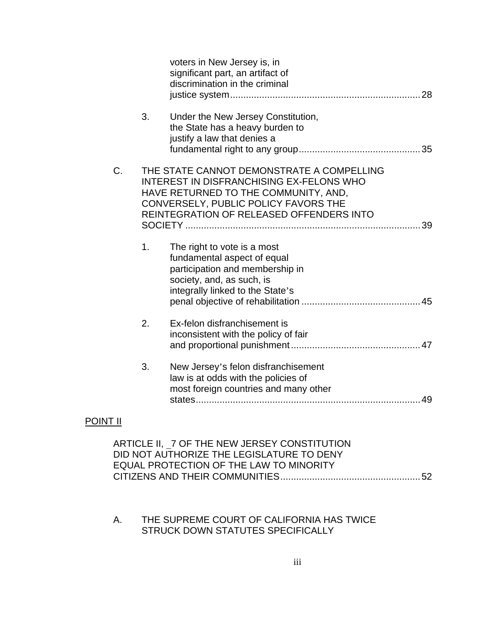|    |    | voters in New Jersey is, in<br>significant part, an artifact of<br>discrimination in the criminal<br>28                                                                                                                        |
|----|----|--------------------------------------------------------------------------------------------------------------------------------------------------------------------------------------------------------------------------------|
|    | 3. | Under the New Jersey Constitution,<br>the State has a heavy burden to<br>justify a law that denies a                                                                                                                           |
| C. |    | THE STATE CANNOT DEMONSTRATE A COMPELLING<br><b>INTEREST IN DISFRANCHISING EX-FELONS WHO</b><br>HAVE RETURNED TO THE COMMUNITY, AND,<br>CONVERSELY, PUBLIC POLICY FAVORS THE<br>REINTEGRATION OF RELEASED OFFENDERS INTO<br>39 |
|    | 1. | The right to vote is a most<br>fundamental aspect of equal<br>participation and membership in<br>society, and, as such, is<br>integrally linked to the State's                                                                 |
|    | 2. | Ex-felon disfranchisement is<br>inconsistent with the policy of fair                                                                                                                                                           |
|    | 3. | New Jersey's felon disfranchisement<br>law is at odds with the policies of<br>most foreign countries and many other                                                                                                            |

## POINT II

## A. THE SUPREME COURT OF CALIFORNIA HAS TWICE STRUCK DOWN STATUTES SPECIFICALLY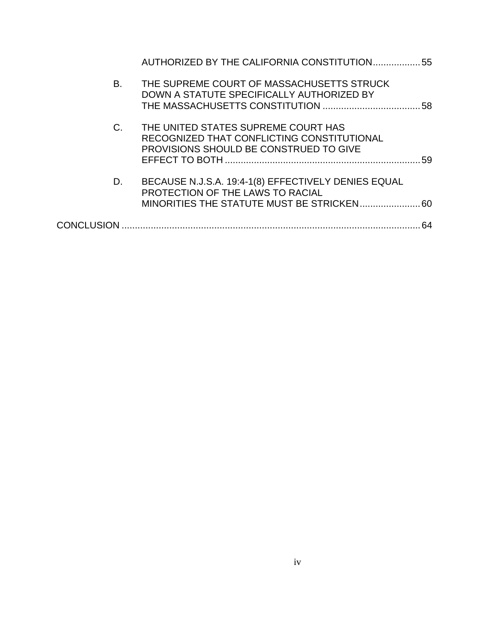|                   | AUTHORIZED BY THE CALIFORNIA CONSTITUTION 55                                                                                |    |
|-------------------|-----------------------------------------------------------------------------------------------------------------------------|----|
| В.                | THE SUPREME COURT OF MASSACHUSETTS STRUCK<br>DOWN A STATUTE SPECIFICALLY AUTHORIZED BY                                      |    |
| C.                | THE UNITED STATES SUPREME COURT HAS<br>RECOGNIZED THAT CONFLICTING CONSTITUTIONAL<br>PROVISIONS SHOULD BE CONSTRUED TO GIVE | 59 |
| D.                | BECAUSE N.J.S.A. 19:4-1(8) EFFECTIVELY DENIES EQUAL<br>PROTECTION OF THE LAWS TO RACIAL                                     |    |
| <b>CONCLUSION</b> |                                                                                                                             | 64 |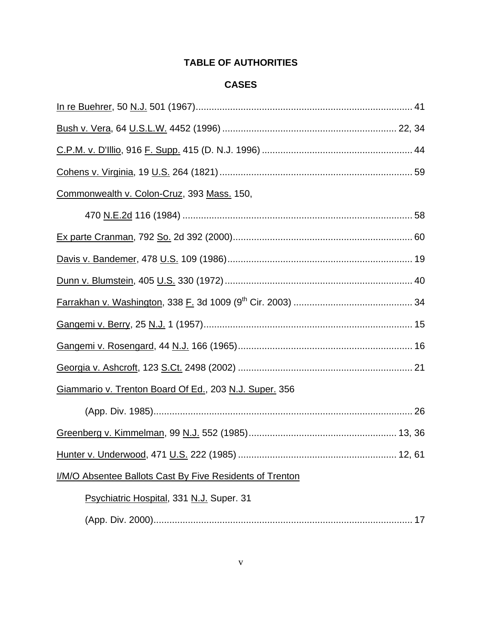## **TABLE OF AUTHORITIES**

## **CASES**

| Commonwealth v. Colon-Cruz, 393 Mass. 150,               |
|----------------------------------------------------------|
|                                                          |
|                                                          |
|                                                          |
|                                                          |
|                                                          |
|                                                          |
|                                                          |
|                                                          |
| Giammario v. Trenton Board Of Ed., 203 N.J. Super. 356   |
|                                                          |
|                                                          |
|                                                          |
| I/M/O Absentee Ballots Cast By Five Residents of Trenton |
| Psychiatric Hospital, 331 N.J. Super. 31                 |
|                                                          |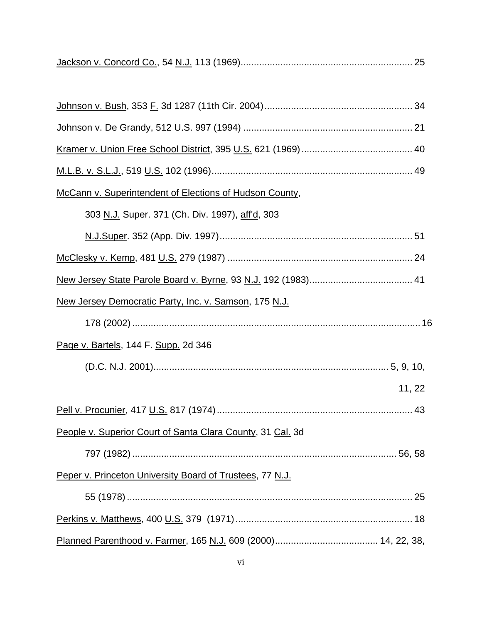|--|--|--|

| McCann v. Superintendent of Elections of Hudson County,      |  |
|--------------------------------------------------------------|--|
| 303 N.J. Super. 371 (Ch. Div. 1997), aff'd, 303              |  |
|                                                              |  |
|                                                              |  |
|                                                              |  |
| <u>New Jersey Democratic Party, Inc. v. Samson, 175 N.J.</u> |  |
|                                                              |  |
| Page v. Bartels, 144 F. Supp. 2d 346                         |  |
|                                                              |  |
| 11, 22                                                       |  |
|                                                              |  |
| People v. Superior Court of Santa Clara County, 31 Cal. 3d   |  |
|                                                              |  |
| Peper v. Princeton University Board of Trustees, 77 N.J.     |  |
|                                                              |  |
|                                                              |  |
|                                                              |  |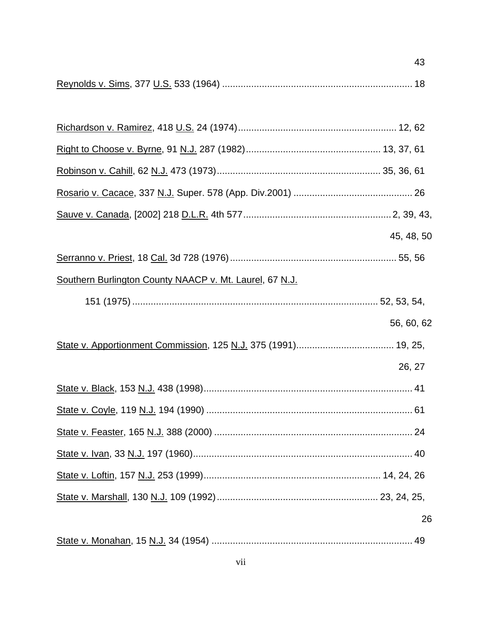|--|--|--|

|                                                         | 45, 48, 50 |
|---------------------------------------------------------|------------|
|                                                         |            |
| Southern Burlington County NAACP v. Mt. Laurel, 67 N.J. |            |
|                                                         |            |
|                                                         | 56, 60, 62 |
|                                                         |            |
|                                                         | 26, 27     |
|                                                         |            |
|                                                         |            |
|                                                         |            |
|                                                         |            |
|                                                         |            |
|                                                         |            |
|                                                         | 26         |
|                                                         |            |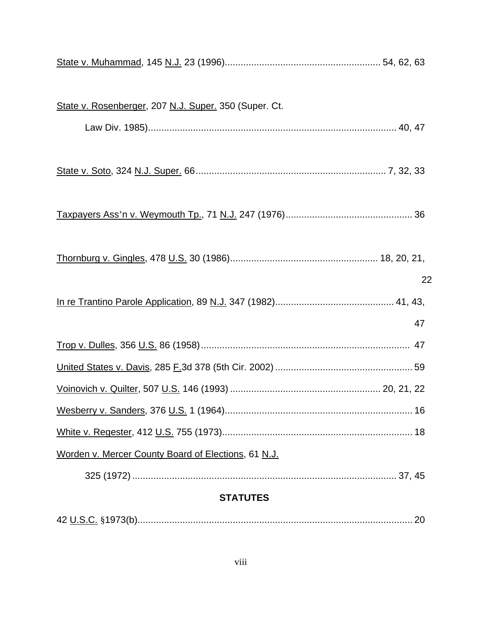| State v. Rosenberger, 207 N.J. Super. 350 (Super. Ct. |
|-------------------------------------------------------|
|                                                       |
|                                                       |
| 22                                                    |
|                                                       |
| 47                                                    |
|                                                       |
|                                                       |
|                                                       |
|                                                       |
|                                                       |
| Worden v. Mercer County Board of Elections, 61 N.J.   |
|                                                       |
| <b>STATUTES</b>                                       |

|--|--|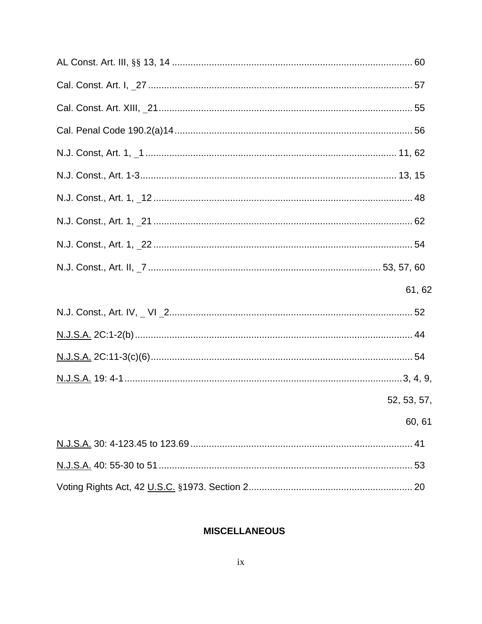| 61, 62      |
|-------------|
|             |
|             |
|             |
|             |
| 52, 53, 57, |
| 60, 61      |
|             |
|             |
|             |

## **MISCELLANEOUS**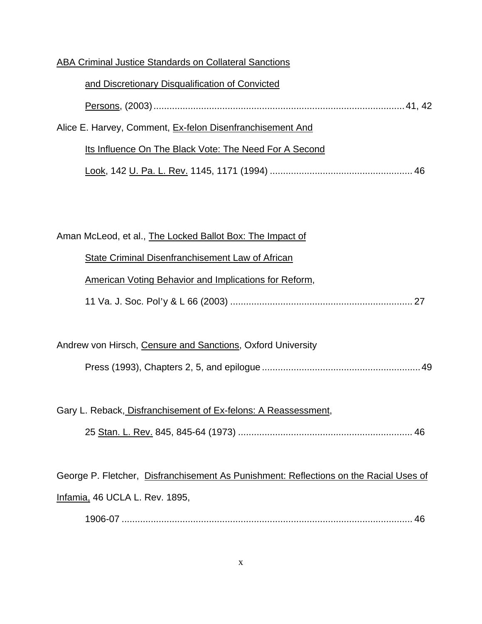#### ABA Criminal Justice Standards on Collateral Sanctions

| and Discretionary Disqualification of Convicted           |  |
|-----------------------------------------------------------|--|
|                                                           |  |
| Alice E. Harvey, Comment, Ex-felon Disenfranchisement And |  |
| Its Influence On The Black Vote: The Need For A Second    |  |
|                                                           |  |

Aman McLeod, et al., The Locked Ballot Box: The Impact of

# State Criminal Disenfranchisement Law of African American Voting Behavior and Implications for Reform,

|--|--|

## Andrew von Hirsch, Censure and Sanctions, Oxford University Press (1993), Chapters 2, 5, and epilogue ............................................................49

Gary L. Reback, Disfranchisement of Ex-felons: A Reassessment,

|--|--|--|

George P. Fletcher, Disfranchisement As Punishment: Reflections on the Racial Uses of Infamia, 46 UCLA L. Rev. 1895,

1906-07 .............................................................................................................. 46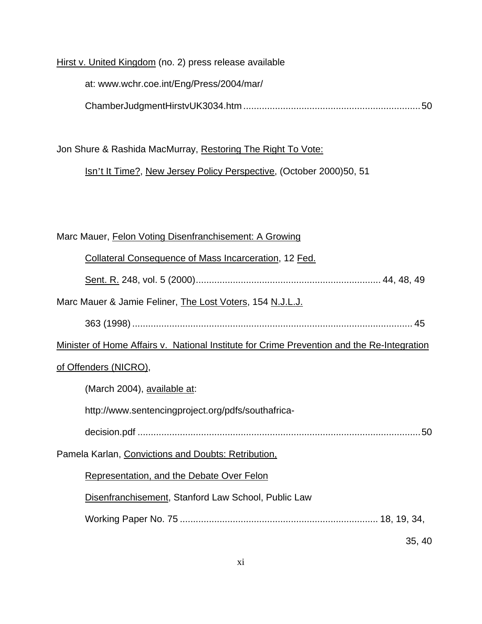Hirst v. United Kingdom (no. 2) press release available

at: www.wchr.coe.int/Eng/Press/2004/mar/ ChamberJudgmentHirstvUK3034.htm ...................................................................50

Jon Shure & Rashida MacMurray, Restoring The Right To Vote:

Isn't It Time?, New Jersey Policy Perspective, (October 2000)50, 51

## Marc Mauer, Felon Voting Disenfranchisement: A Growing

| <b>Collateral Consequence of Mass Incarceration, 12 Fed.</b>                               |
|--------------------------------------------------------------------------------------------|
|                                                                                            |
| Marc Mauer & Jamie Feliner, The Lost Voters, 154 N.J.L.J.                                  |
|                                                                                            |
| Minister of Home Affairs v. National Institute for Crime Prevention and the Re-Integration |
| of Offenders (NICRO),                                                                      |
| (March 2004), available at:                                                                |
| http://www.sentencingproject.org/pdfs/southafrica-                                         |
|                                                                                            |
| Pamela Karlan, Convictions and Doubts: Retribution,                                        |
| Representation, and the Debate Over Felon                                                  |
| Disenfranchisement, Stanford Law School, Public Law                                        |
|                                                                                            |
| 35, 40                                                                                     |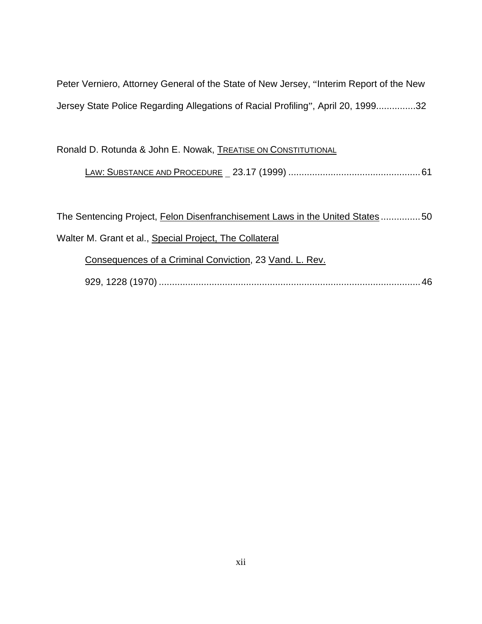Peter Verniero, Attorney General of the State of New Jersey, "Interim Report of the New Jersey State Police Regarding Allegations of Racial Profiling", April 20, 1999...............32

Ronald D. Rotunda & John E. Nowak, TREATISE ON CONSTITUTIONAL

## LAW: SUBSTANCE AND PROCEDURE \_ 23.17 (1999) ..................................................61

The Sentencing Project, Felon Disenfranchisement Laws in the United States ................50 Walter M. Grant et al., Special Project, The Collateral Consequences of a Criminal Conviction, 23 Vand. L. Rev.

929, 1228 (1970) ...................................................................................................46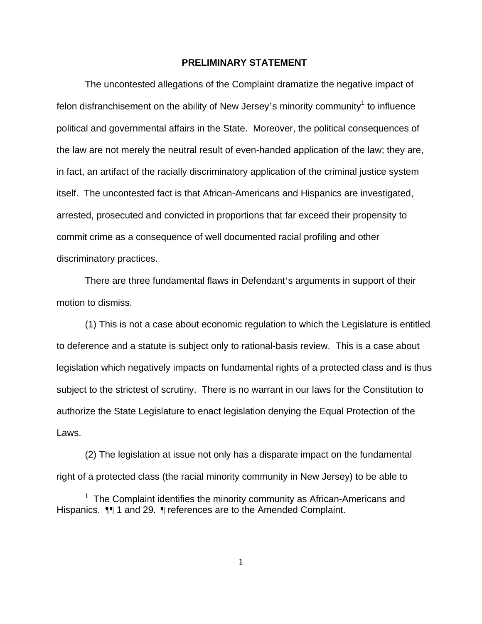#### **PRELIMINARY STATEMENT**

The uncontested allegations of the Complaint dramatize the negative impact of felon disfranchisement on the ability of New Jersey's minority community<sup>[1](#page-12-0)</sup> to influence political and governmental affairs in the State. Moreover, the political consequences of the law are not merely the neutral result of even-handed application of the law; they are, in fact, an artifact of the racially discriminatory application of the criminal justice system itself. The uncontested fact is that African-Americans and Hispanics are investigated, arrested, prosecuted and convicted in proportions that far exceed their propensity to commit crime as a consequence of well documented racial profiling and other discriminatory practices.

There are three fundamental flaws in Defendant's arguments in support of their motion to dismiss.

(1) This is not a case about economic regulation to which the Legislature is entitled to deference and a statute is subject only to rational-basis review. This is a case about legislation which negatively impacts on fundamental rights of a protected class and is thus subject to the strictest of scrutiny. There is no warrant in our laws for the Constitution to authorize the State Legislature to enact legislation denying the Equal Protection of the Laws.

(2) The legislation at issue not only has a disparate impact on the fundamental right of a protected class (the racial minority community in New Jersey) to be able to

<span id="page-12-0"></span> $\overline{a}$ 

 $1$  The Complaint identifies the minority community as African-Americans and Hispanics. ¶¶ 1 and 29. ¶ references are to the Amended Complaint.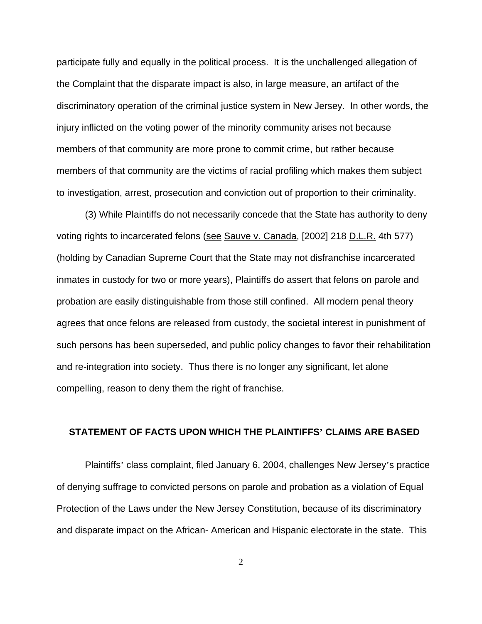participate fully and equally in the political process. It is the unchallenged allegation of the Complaint that the disparate impact is also, in large measure, an artifact of the discriminatory operation of the criminal justice system in New Jersey. In other words, the injury inflicted on the voting power of the minority community arises not because members of that community are more prone to commit crime, but rather because members of that community are the victims of racial profiling which makes them subject to investigation, arrest, prosecution and conviction out of proportion to their criminality.

(3) While Plaintiffs do not necessarily concede that the State has authority to deny voting rights to incarcerated felons (see Sauve v. Canada, [2002] 218 D.L.R. 4th 577) (holding by Canadian Supreme Court that the State may not disfranchise incarcerated inmates in custody for two or more years), Plaintiffs do assert that felons on parole and probation are easily distinguishable from those still confined. All modern penal theory agrees that once felons are released from custody, the societal interest in punishment of such persons has been superseded, and public policy changes to favor their rehabilitation and re-integration into society. Thus there is no longer any significant, let alone compelling, reason to deny them the right of franchise.

#### **STATEMENT OF FACTS UPON WHICH THE PLAINTIFFS' CLAIMS ARE BASED**

Plaintiffs' class complaint, filed January 6, 2004, challenges New Jersey's practice of denying suffrage to convicted persons on parole and probation as a violation of Equal Protection of the Laws under the New Jersey Constitution, because of its discriminatory and disparate impact on the African- American and Hispanic electorate in the state. This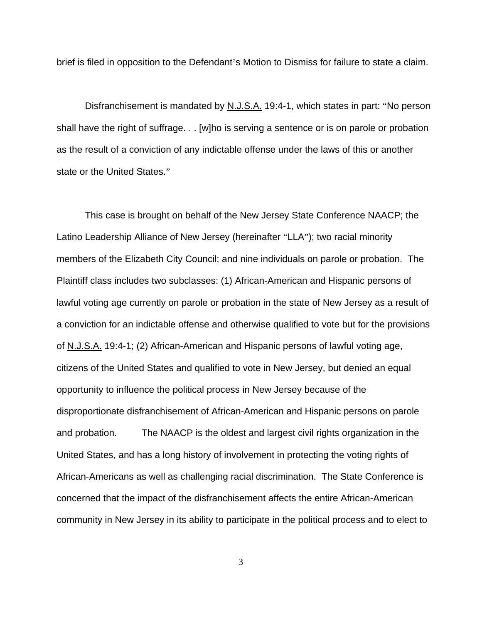brief is filed in opposition to the Defendant's Motion to Dismiss for failure to state a claim.

Disfranchisement is mandated by N.J.S.A. 19:4-1, which states in part: "No person shall have the right of suffrage. . . [w]ho is serving a sentence or is on parole or probation as the result of a conviction of any indictable offense under the laws of this or another state or the United States."

This case is brought on behalf of the New Jersey State Conference NAACP; the Latino Leadership Alliance of New Jersey (hereinafter "LLA"); two racial minority members of the Elizabeth City Council; and nine individuals on parole or probation. The Plaintiff class includes two subclasses: (1) African-American and Hispanic persons of lawful voting age currently on parole or probation in the state of New Jersey as a result of a conviction for an indictable offense and otherwise qualified to vote but for the provisions of N.J.S.A. 19:4-1; (2) African-American and Hispanic persons of lawful voting age, citizens of the United States and qualified to vote in New Jersey, but denied an equal opportunity to influence the political process in New Jersey because of the disproportionate disfranchisement of African-American and Hispanic persons on parole and probation. The NAACP is the oldest and largest civil rights organization in the United States, and has a long history of involvement in protecting the voting rights of African-Americans as well as challenging racial discrimination. The State Conference is concerned that the impact of the disfranchisement affects the entire African-American community in New Jersey in its ability to participate in the political process and to elect to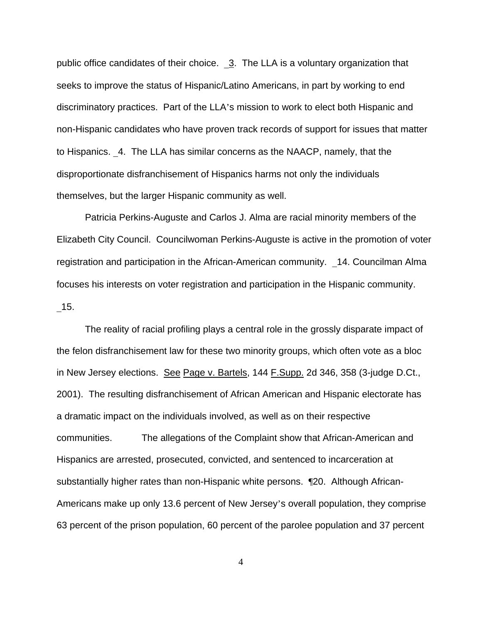public office candidates of their choice.  $\frac{3}{2}$ . The LLA is a voluntary organization that seeks to improve the status of Hispanic/Latino Americans, in part by working to end discriminatory practices. Part of the LLA's mission to work to elect both Hispanic and non-Hispanic candidates who have proven track records of support for issues that matter to Hispanics. 4. The LLA has similar concerns as the NAACP, namely, that the disproportionate disfranchisement of Hispanics harms not only the individuals themselves, but the larger Hispanic community as well.

Patricia Perkins-Auguste and Carlos J. Alma are racial minority members of the Elizabeth City Council. Councilwoman Perkins-Auguste is active in the promotion of voter registration and participation in the African-American community. \_14. Councilman Alma focuses his interests on voter registration and participation in the Hispanic community. \_15.

The reality of racial profiling plays a central role in the grossly disparate impact of the felon disfranchisement law for these two minority groups, which often vote as a bloc in New Jersey elections. See Page v. Bartels, 144 F.Supp. 2d 346, 358 (3-judge D.Ct., 2001). The resulting disfranchisement of African American and Hispanic electorate has a dramatic impact on the individuals involved, as well as on their respective communities. The allegations of the Complaint show that African-American and Hispanics are arrested, prosecuted, convicted, and sentenced to incarceration at substantially higher rates than non-Hispanic white persons. ¶20. Although African-Americans make up only 13.6 percent of New Jersey's overall population, they comprise 63 percent of the prison population, 60 percent of the parolee population and 37 percent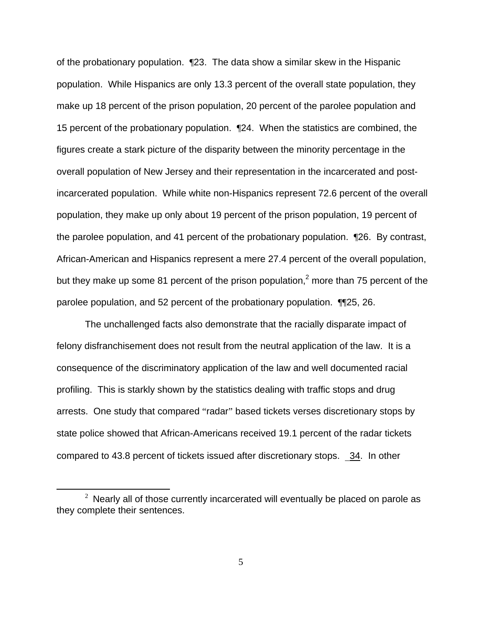of the probationary population. ¶23. The data show a similar skew in the Hispanic population. While Hispanics are only 13.3 percent of the overall state population, they make up 18 percent of the prison population, 20 percent of the parolee population and 15 percent of the probationary population. ¶24. When the statistics are combined, the figures create a stark picture of the disparity between the minority percentage in the overall population of New Jersey and their representation in the incarcerated and postincarcerated population. While white non-Hispanics represent 72.6 percent of the overall population, they make up only about 19 percent of the prison population, 19 percent of the parolee population, and 41 percent of the probationary population. ¶26. By contrast, African-American and Hispanics represent a mere 27.4 percent of the overall population, but they make up some 81 percent of the prison population,<sup>2</sup> more than 75 percent of the parolee population, and 52 percent of the probationary population. ¶¶25, 26.

The unchallenged facts also demonstrate that the racially disparate impact of felony disfranchisement does not result from the neutral application of the law. It is a consequence of the discriminatory application of the law and well documented racial profiling. This is starkly shown by the statistics dealing with traffic stops and drug arrests. One study that compared "radar" based tickets verses discretionary stops by state police showed that African-Americans received 19.1 percent of the radar tickets compared to 43.8 percent of tickets issued after discretionary stops. \_34. In other

<span id="page-16-0"></span> $2$  Nearly all of those currently incarcerated will eventually be placed on parole as they complete their sentences.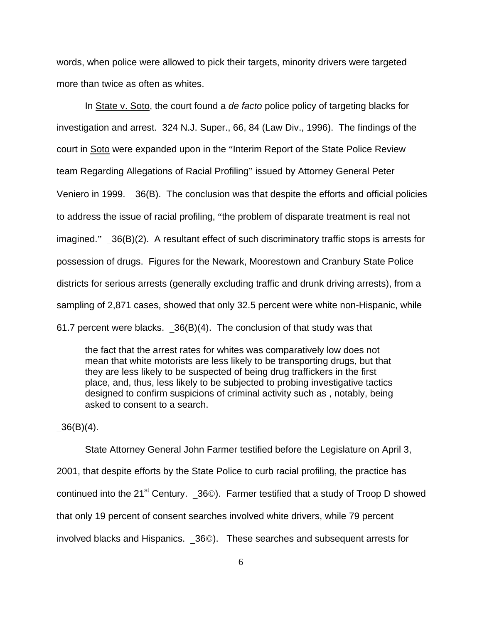words, when police were allowed to pick their targets, minority drivers were targeted more than twice as often as whites.

In State v. Soto, the court found a *de facto* police policy of targeting blacks for investigation and arrest. 324 N.J. Super., 66, 84 (Law Div., 1996). The findings of the court in Soto were expanded upon in the "Interim Report of the State Police Review team Regarding Allegations of Racial Profiling" issued by Attorney General Peter Veniero in 1999. \_36(B). The conclusion was that despite the efforts and official policies to address the issue of racial profiling, "the problem of disparate treatment is real not imagined." 36(B)(2). A resultant effect of such discriminatory traffic stops is arrests for possession of drugs. Figures for the Newark, Moorestown and Cranbury State Police districts for serious arrests (generally excluding traffic and drunk driving arrests), from a sampling of 2,871 cases, showed that only 32.5 percent were white non-Hispanic, while 61.7 percent were blacks.  $36(B)(4)$ . The conclusion of that study was that

the fact that the arrest rates for whites was comparatively low does not mean that white motorists are less likely to be transporting drugs, but that they are less likely to be suspected of being drug traffickers in the first place, and, thus, less likely to be subjected to probing investigative tactics designed to confirm suspicions of criminal activity such as , notably, being asked to consent to a search.

 $36(B)(4)$ .

State Attorney General John Farmer testified before the Legislature on April 3, 2001, that despite efforts by the State Police to curb racial profiling, the practice has continued into the 21<sup>st</sup> Century. \_36©). Farmer testified that a study of Troop D showed that only 19 percent of consent searches involved white drivers, while 79 percent involved blacks and Hispanics. \_36©). These searches and subsequent arrests for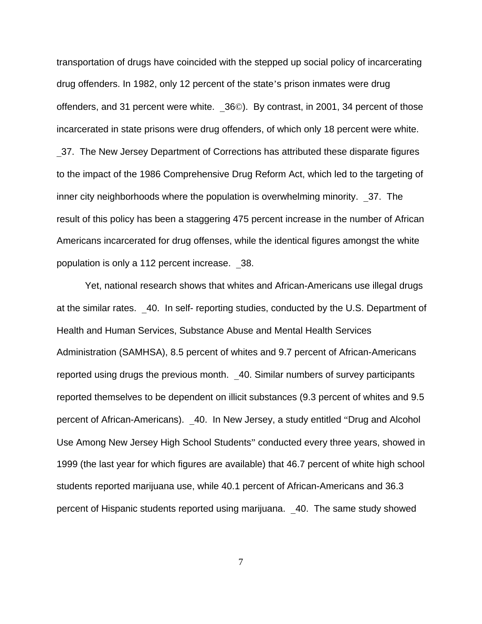transportation of drugs have coincided with the stepped up social policy of incarcerating drug offenders. In 1982, only 12 percent of the state's prison inmates were drug offenders, and 31 percent were white. \_36©). By contrast, in 2001, 34 percent of those incarcerated in state prisons were drug offenders, of which only 18 percent were white. 37. The New Jersey Department of Corrections has attributed these disparate figures to the impact of the 1986 Comprehensive Drug Reform Act, which led to the targeting of inner city neighborhoods where the population is overwhelming minority. \_37. The result of this policy has been a staggering 475 percent increase in the number of African Americans incarcerated for drug offenses, while the identical figures amongst the white population is only a 112 percent increase. \_38.

Yet, national research shows that whites and African-Americans use illegal drugs at the similar rates. \_40. In self- reporting studies, conducted by the U.S. Department of Health and Human Services, Substance Abuse and Mental Health Services Administration (SAMHSA), 8.5 percent of whites and 9.7 percent of African-Americans reported using drugs the previous month. \_40. Similar numbers of survey participants reported themselves to be dependent on illicit substances (9.3 percent of whites and 9.5 percent of African-Americans). \_40. In New Jersey, a study entitled "Drug and Alcohol Use Among New Jersey High School Students" conducted every three years, showed in 1999 (the last year for which figures are available) that 46.7 percent of white high school students reported marijuana use, while 40.1 percent of African-Americans and 36.3 percent of Hispanic students reported using marijuana. \_40. The same study showed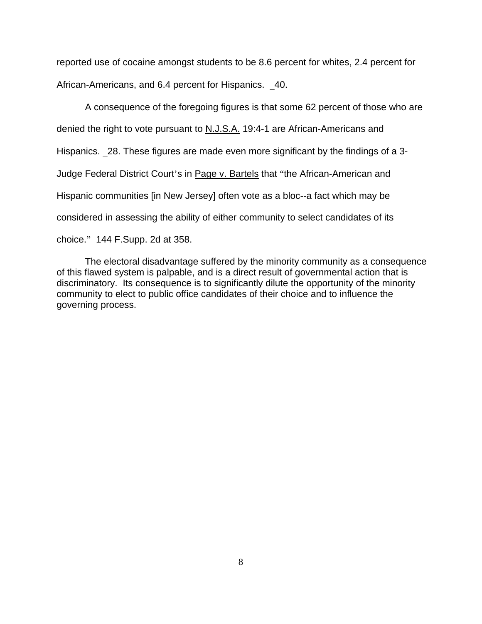reported use of cocaine amongst students to be 8.6 percent for whites, 2.4 percent for African-Americans, and 6.4 percent for Hispanics. \_40.

A consequence of the foregoing figures is that some 62 percent of those who are denied the right to vote pursuant to N.J.S.A. 19:4-1 are African-Americans and Hispanics. 28. These figures are made even more significant by the findings of a 3-Judge Federal District Court's in Page v. Bartels that "the African-American and Hispanic communities [in New Jersey] often vote as a bloc--a fact which may be considered in assessing the ability of either community to select candidates of its choice." 144 F.Supp. 2d at 358.

The electoral disadvantage suffered by the minority community as a consequence of this flawed system is palpable, and is a direct result of governmental action that is discriminatory. Its consequence is to significantly dilute the opportunity of the minority community to elect to public office candidates of their choice and to influence the governing process.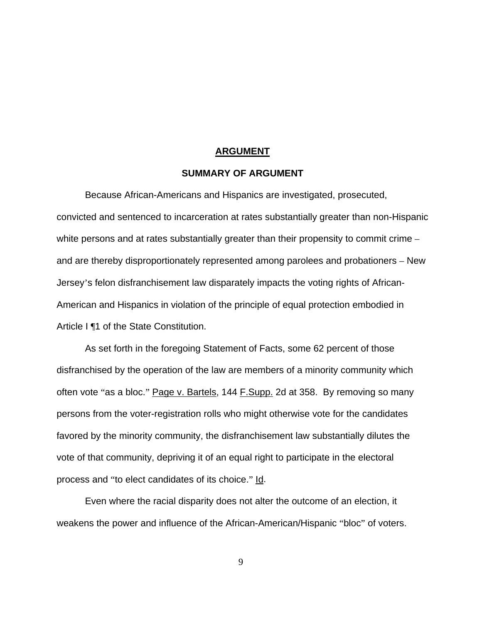#### **ARGUMENT**

#### **SUMMARY OF ARGUMENT**

Because African-Americans and Hispanics are investigated, prosecuted, convicted and sentenced to incarceration at rates substantially greater than non-Hispanic white persons and at rates substantially greater than their propensity to commit crime – and are thereby disproportionately represented among parolees and probationers – New Jersey's felon disfranchisement law disparately impacts the voting rights of African-American and Hispanics in violation of the principle of equal protection embodied in Article I ¶1 of the State Constitution.

As set forth in the foregoing Statement of Facts, some 62 percent of those disfranchised by the operation of the law are members of a minority community which often vote "as a bloc." Page v. Bartels, 144 F. Supp. 2d at 358. By removing so many persons from the voter-registration rolls who might otherwise vote for the candidates favored by the minority community, the disfranchisement law substantially dilutes the vote of that community, depriving it of an equal right to participate in the electoral process and "to elect candidates of its choice." Id.

Even where the racial disparity does not alter the outcome of an election, it weakens the power and influence of the African-American/Hispanic "bloc" of voters.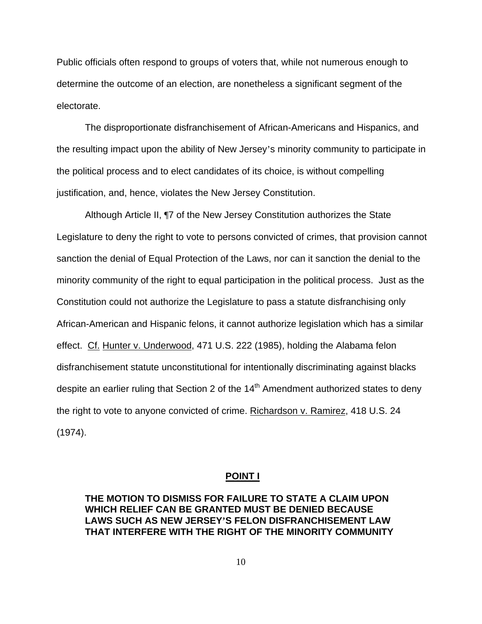Public officials often respond to groups of voters that, while not numerous enough to determine the outcome of an election, are nonetheless a significant segment of the electorate.

The disproportionate disfranchisement of African-Americans and Hispanics, and the resulting impact upon the ability of New Jersey's minority community to participate in the political process and to elect candidates of its choice, is without compelling justification, and, hence, violates the New Jersey Constitution.

Although Article II, ¶7 of the New Jersey Constitution authorizes the State Legislature to deny the right to vote to persons convicted of crimes, that provision cannot sanction the denial of Equal Protection of the Laws, nor can it sanction the denial to the minority community of the right to equal participation in the political process. Just as the Constitution could not authorize the Legislature to pass a statute disfranchising only African-American and Hispanic felons, it cannot authorize legislation which has a similar effect. Cf. Hunter v. Underwood, 471 U.S. 222 (1985), holding the Alabama felon disfranchisement statute unconstitutional for intentionally discriminating against blacks despite an earlier ruling that Section 2 of the 14<sup>th</sup> Amendment authorized states to deny the right to vote to anyone convicted of crime. Richardson v. Ramirez, 418 U.S. 24 (1974).

#### **POINT I**

## **THE MOTION TO DISMISS FOR FAILURE TO STATE A CLAIM UPON WHICH RELIEF CAN BE GRANTED MUST BE DENIED BECAUSE LAWS SUCH AS NEW JERSEY'S FELON DISFRANCHISEMENT LAW THAT INTERFERE WITH THE RIGHT OF THE MINORITY COMMUNITY**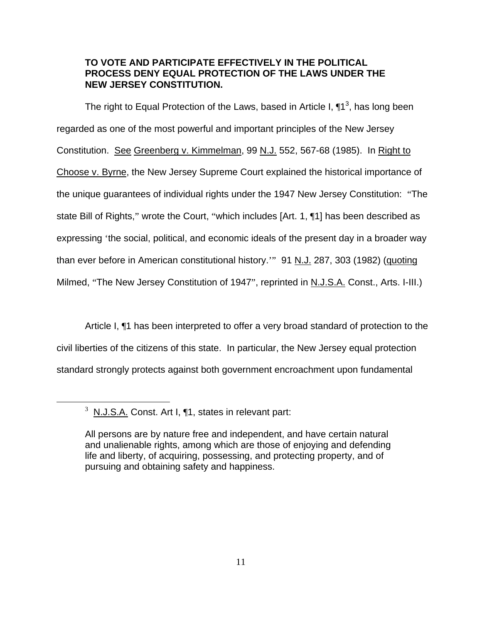### **TO VOTE AND PARTICIPATE EFFECTIVELY IN THE POLITICAL PROCESS DENY EQUAL PROTECTION OF THE LAWS UNDER THE NEW JERSEY CONSTITUTION.**

The right to Equal Protection of the Laws, based in Article I,  $\P^3$ , has long been regarded as one of the most powerful and important principles of the New Jersey Constitution. See Greenberg v. Kimmelman, 99 N.J. 552, 567-68 (1985). In Right to Choose v. Byrne, the New Jersey Supreme Court explained the historical importance of the unique guarantees of individual rights under the 1947 New Jersey Constitution: "The state Bill of Rights," wrote the Court, "which includes [Art. 1, ¶1] has been described as expressing 'the social, political, and economic ideals of the present day in a broader way than ever before in American constitutional history.'" 91 N.J. 287, 303 (1982) (quoting Milmed, "The New Jersey Constitution of 1947", reprinted in N.J.S.A. Const., Arts. I-III.)

Article I, ¶1 has been interpreted to offer a very broad standard of protection to the civil liberties of the citizens of this state. In particular, the New Jersey equal protection standard strongly protects against both government encroachment upon fundamental

 $\frac{1}{3}$  $3$  N.J. $S.A.$  Const. Art I,  $\P1$ , states in relevant part:

<span id="page-22-0"></span>All persons are by nature free and independent, and have certain natural and unalienable rights, among which are those of enjoying and defending life and liberty, of acquiring, possessing, and protecting property, and of pursuing and obtaining safety and happiness.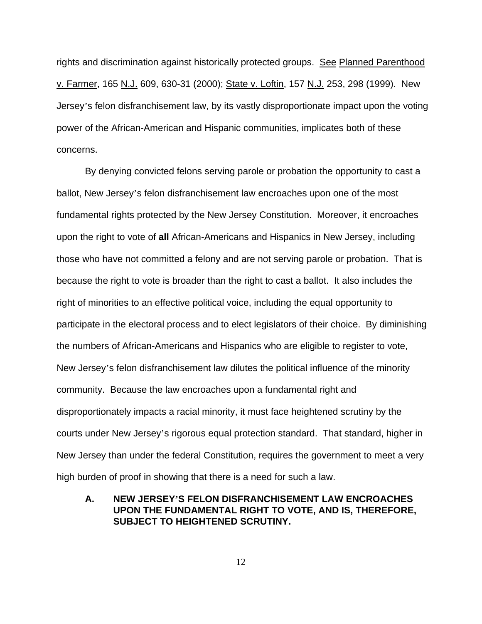rights and discrimination against historically protected groups. See Planned Parenthood v. Farmer, 165 N.J. 609, 630-31 (2000); State v. Loftin, 157 N.J. 253, 298 (1999). New Jersey's felon disfranchisement law, by its vastly disproportionate impact upon the voting power of the African-American and Hispanic communities, implicates both of these concerns.

By denying convicted felons serving parole or probation the opportunity to cast a ballot, New Jersey's felon disfranchisement law encroaches upon one of the most fundamental rights protected by the New Jersey Constitution. Moreover, it encroaches upon the right to vote of **all** African-Americans and Hispanics in New Jersey, including those who have not committed a felony and are not serving parole or probation. That is because the right to vote is broader than the right to cast a ballot. It also includes the right of minorities to an effective political voice, including the equal opportunity to participate in the electoral process and to elect legislators of their choice. By diminishing the numbers of African-Americans and Hispanics who are eligible to register to vote, New Jersey's felon disfranchisement law dilutes the political influence of the minority community. Because the law encroaches upon a fundamental right and disproportionately impacts a racial minority, it must face heightened scrutiny by the courts under New Jersey's rigorous equal protection standard. That standard, higher in New Jersey than under the federal Constitution, requires the government to meet a very high burden of proof in showing that there is a need for such a law.

## **A. NEW JERSEY'S FELON DISFRANCHISEMENT LAW ENCROACHES UPON THE FUNDAMENTAL RIGHT TO VOTE, AND IS, THEREFORE, SUBJECT TO HEIGHTENED SCRUTINY.**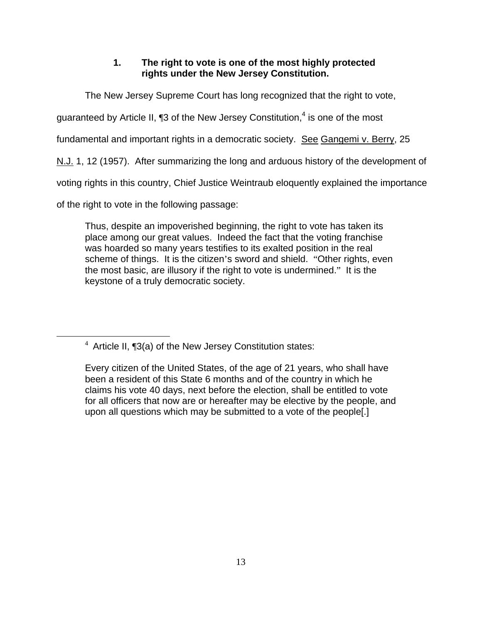## **1. The right to vote is one of the most highly protected rights under the New Jersey Constitution.**

The New Jersey Supreme Court has long recognized that the right to vote,

guaranteed by Article II, ¶3 of the New Jersey Constitution,<sup>[4](#page-24-0)</sup> is one of the most

fundamental and important rights in a democratic society. See Gangemi v. Berry, 25

N.J. 1, 12 (1957). After summarizing the long and arduous history of the development of

voting rights in this country, Chief Justice Weintraub eloquently explained the importance

of the right to vote in the following passage:

Thus, despite an impoverished beginning, the right to vote has taken its place among our great values. Indeed the fact that the voting franchise was hoarded so many years testifies to its exalted position in the real scheme of things. It is the citizen's sword and shield. "Other rights, even the most basic, are illusory if the right to vote is undermined." It is the keystone of a truly democratic society.

 $\overline{4}$  $4$  Article II,  $\P$ 3(a) of the New Jersey Constitution states:

<span id="page-24-0"></span>Every citizen of the United States, of the age of 21 years, who shall have been a resident of this State 6 months and of the country in which he claims his vote 40 days, next before the election, shall be entitled to vote for all officers that now are or hereafter may be elective by the people, and upon all questions which may be submitted to a vote of the people[.]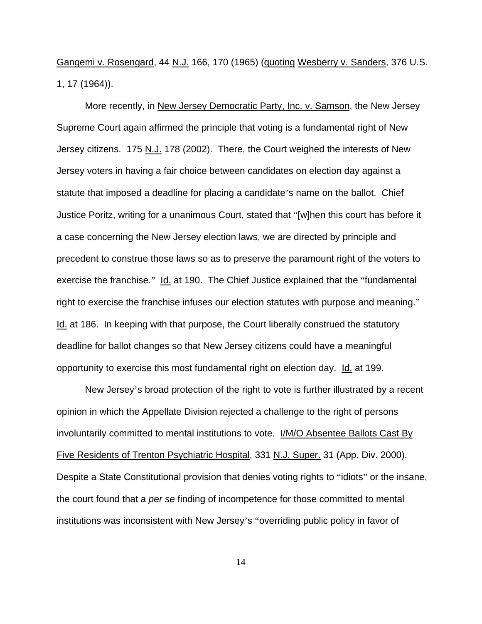Gangemi v. Rosengard, 44 N.J. 166, 170 (1965) (quoting Wesberry v. Sanders, 376 U.S. 1, 17 (1964)).

More recently, in New Jersey Democratic Party, Inc. v. Samson, the New Jersey Supreme Court again affirmed the principle that voting is a fundamental right of New Jersey citizens. 175 N.J. 178 (2002). There, the Court weighed the interests of New Jersey voters in having a fair choice between candidates on election day against a statute that imposed a deadline for placing a candidate's name on the ballot. Chief Justice Poritz, writing for a unanimous Court, stated that "[w]hen this court has before it a case concerning the New Jersey election laws, we are directed by principle and precedent to construe those laws so as to preserve the paramount right of the voters to exercise the franchise." Id. at 190. The Chief Justice explained that the "fundamental right to exercise the franchise infuses our election statutes with purpose and meaning." Id. at 186. In keeping with that purpose, the Court liberally construed the statutory deadline for ballot changes so that New Jersey citizens could have a meaningful opportunity to exercise this most fundamental right on election day. Id. at 199.

New Jersey's broad protection of the right to vote is further illustrated by a recent opinion in which the Appellate Division rejected a challenge to the right of persons involuntarily committed to mental institutions to vote. I/M/O Absentee Ballots Cast By Five Residents of Trenton Psychiatric Hospital, 331 N.J. Super. 31 (App. Div. 2000). Despite a State Constitutional provision that denies voting rights to "idiots" or the insane, the court found that a *per se* finding of incompetence for those committed to mental institutions was inconsistent with New Jersey's "overriding public policy in favor of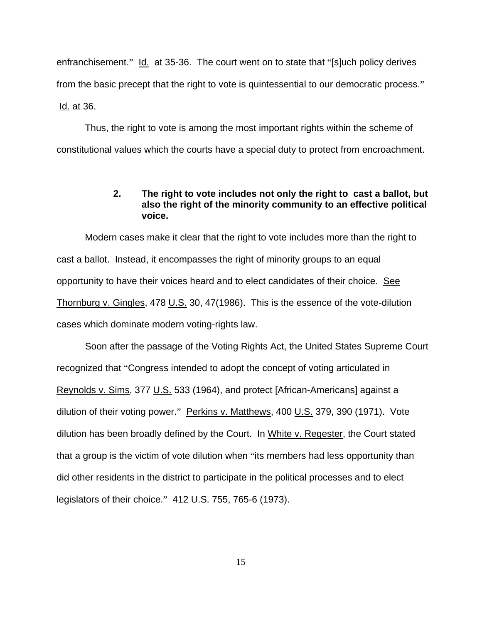enfranchisement." Id. at 35-36. The court went on to state that "[s]uch policy derives from the basic precept that the right to vote is quintessential to our democratic process." Id. at 36.

Thus, the right to vote is among the most important rights within the scheme of constitutional values which the courts have a special duty to protect from encroachment.

#### **2. The right to vote includes not only the right to cast a ballot, but also the right of the minority community to an effective political voice.**

Modern cases make it clear that the right to vote includes more than the right to cast a ballot. Instead, it encompasses the right of minority groups to an equal opportunity to have their voices heard and to elect candidates of their choice. See Thornburg v. Gingles, 478 U.S. 30, 47(1986). This is the essence of the vote-dilution cases which dominate modern voting-rights law.

Soon after the passage of the Voting Rights Act, the United States Supreme Court recognized that "Congress intended to adopt the concept of voting articulated in Reynolds v. Sims, 377 U.S. 533 (1964), and protect [African-Americans] against a dilution of their voting power." Perkins v. Matthews, 400 U.S. 379, 390 (1971). Vote dilution has been broadly defined by the Court. In White v. Regester, the Court stated that a group is the victim of vote dilution when "its members had less opportunity than did other residents in the district to participate in the political processes and to elect legislators of their choice." 412 U.S. 755, 765-6 (1973).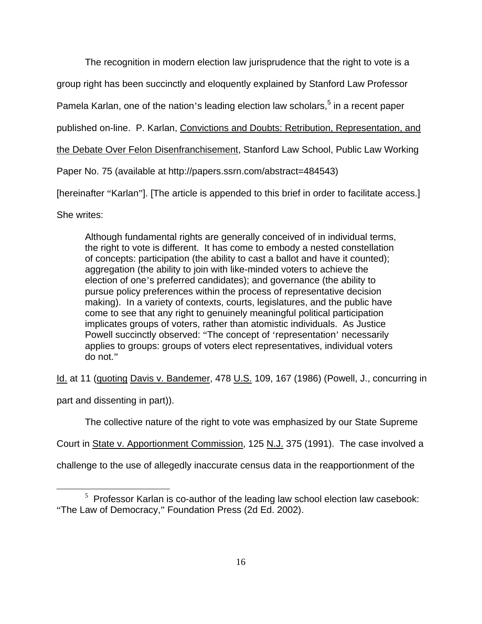The recognition in modern election law jurisprudence that the right to vote is a

group right has been succinctly and eloquently explained by Stanford Law Professor

Pamela Karlan, one of the nation's leading election law scholars,<sup>[5](#page-27-0)</sup> in a recent paper

published on-line. P. Karlan, Convictions and Doubts: Retribution, Representation, and

the Debate Over Felon Disenfranchisement, Stanford Law School, Public Law Working

Paper No. 75 (available at http://papers.ssrn.com/abstract=484543)

[hereinafter "Karlan"]. [The article is appended to this brief in order to facilitate access.]

She writes:

Although fundamental rights are generally conceived of in individual terms, the right to vote is different. It has come to embody a nested constellation of concepts: participation (the ability to cast a ballot and have it counted); aggregation (the ability to join with like-minded voters to achieve the election of one's preferred candidates); and governance (the ability to pursue policy preferences within the process of representative decision making). In a variety of contexts, courts, legislatures, and the public have come to see that any right to genuinely meaningful political participation implicates groups of voters, rather than atomistic individuals. As Justice Powell succinctly observed: "The concept of 'representation' necessarily applies to groups: groups of voters elect representatives, individual voters do not."

Id. at 11 (quoting Davis v. Bandemer, 478 U.S. 109, 167 (1986) (Powell, J., concurring in

part and dissenting in part)).

The collective nature of the right to vote was emphasized by our State Supreme

Court in State v. Apportionment Commission, 125 N.J. 375 (1991). The case involved a

challenge to the use of allegedly inaccurate census data in the reapportionment of the

<span id="page-27-0"></span> $\frac{1}{5}$  $5$  Professor Karlan is co-author of the leading law school election law casebook: "The Law of Democracy," Foundation Press (2d Ed. 2002).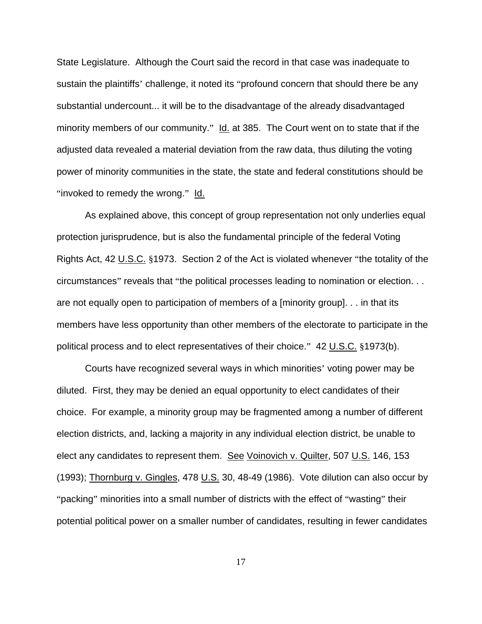State Legislature. Although the Court said the record in that case was inadequate to sustain the plaintiffs' challenge, it noted its "profound concern that should there be any substantial undercount... it will be to the disadvantage of the already disadvantaged minority members of our community." Id. at 385. The Court went on to state that if the adjusted data revealed a material deviation from the raw data, thus diluting the voting power of minority communities in the state, the state and federal constitutions should be "invoked to remedy the wrong." Id.

As explained above, this concept of group representation not only underlies equal protection jurisprudence, but is also the fundamental principle of the federal Voting Rights Act, 42 U.S.C. §1973. Section 2 of the Act is violated whenever "the totality of the circumstances" reveals that "the political processes leading to nomination or election. . . are not equally open to participation of members of a [minority group]. . . in that its members have less opportunity than other members of the electorate to participate in the political process and to elect representatives of their choice." 42 U.S.C. §1973(b).

Courts have recognized several ways in which minorities' voting power may be diluted. First, they may be denied an equal opportunity to elect candidates of their choice. For example, a minority group may be fragmented among a number of different election districts, and, lacking a majority in any individual election district, be unable to elect any candidates to represent them. See Voinovich v. Quilter, 507 U.S. 146, 153 (1993); Thornburg v. Gingles, 478 U.S. 30, 48-49 (1986). Vote dilution can also occur by "packing" minorities into a small number of districts with the effect of "wasting" their potential political power on a smaller number of candidates, resulting in fewer candidates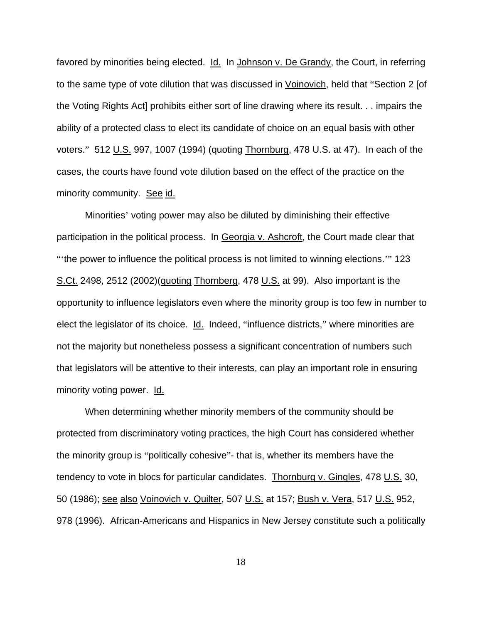favored by minorities being elected. Id. In Johnson v. De Grandy, the Court, in referring to the same type of vote dilution that was discussed in Voinovich, held that "Section 2 [of the Voting Rights Act] prohibits either sort of line drawing where its result. . . impairs the ability of a protected class to elect its candidate of choice on an equal basis with other voters." 512 U.S. 997, 1007 (1994) (quoting Thornburg, 478 U.S. at 47). In each of the cases, the courts have found vote dilution based on the effect of the practice on the minority community. See id.

Minorities' voting power may also be diluted by diminishing their effective participation in the political process. In Georgia v. Ashcroft, the Court made clear that "'the power to influence the political process is not limited to winning elections.'" 123 S.Ct. 2498, 2512 (2002)(quoting Thornberg, 478 U.S. at 99). Also important is the opportunity to influence legislators even where the minority group is too few in number to elect the legislator of its choice. Id. Indeed, "influence districts," where minorities are not the majority but nonetheless possess a significant concentration of numbers such that legislators will be attentive to their interests, can play an important role in ensuring minority voting power. Id.

When determining whether minority members of the community should be protected from discriminatory voting practices, the high Court has considered whether the minority group is "politically cohesive"- that is, whether its members have the tendency to vote in blocs for particular candidates. Thornburg v. Gingles, 478 U.S. 30, 50 (1986); see also Voinovich v. Quilter, 507 U.S. at 157; Bush v. Vera, 517 U.S. 952, 978 (1996). African-Americans and Hispanics in New Jersey constitute such a politically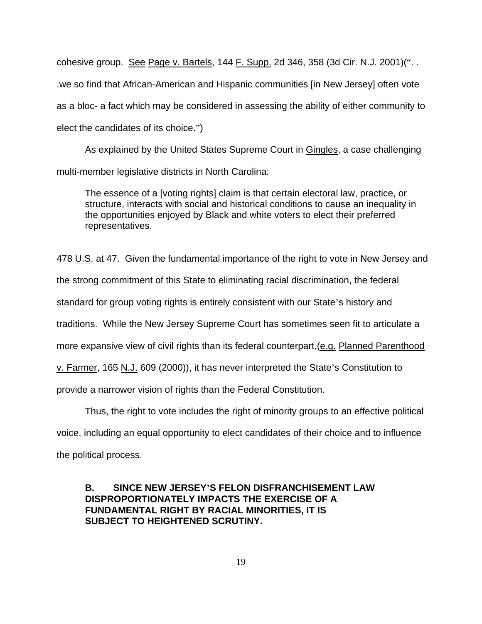cohesive group. See Page v. Bartels, 144 F. Supp. 2d 346, 358 (3d Cir. N.J. 2001)(". . .we so find that African-American and Hispanic communities [in New Jersey] often vote as a bloc- a fact which may be considered in assessing the ability of either community to elect the candidates of its choice.")

As explained by the United States Supreme Court in Gingles, a case challenging multi-member legislative districts in North Carolina:

The essence of a [voting rights] claim is that certain electoral law, practice, or structure, interacts with social and historical conditions to cause an inequality in the opportunities enjoyed by Black and white voters to elect their preferred representatives.

478 U.S. at 47. Given the fundamental importance of the right to vote in New Jersey and

the strong commitment of this State to eliminating racial discrimination, the federal

standard for group voting rights is entirely consistent with our State's history and

traditions. While the New Jersey Supreme Court has sometimes seen fit to articulate a

more expansive view of civil rights than its federal counterpart, (e.g. Planned Parenthood

v. Farmer, 165 N.J. 609 (2000)), it has never interpreted the State's Constitution to

provide a narrower vision of rights than the Federal Constitution.

Thus, the right to vote includes the right of minority groups to an effective political voice, including an equal opportunity to elect candidates of their choice and to influence the political process.

## **B. SINCE NEW JERSEY'S FELON DISFRANCHISEMENT LAW DISPROPORTIONATELY IMPACTS THE EXERCISE OF A FUNDAMENTAL RIGHT BY RACIAL MINORITIES, IT IS SUBJECT TO HEIGHTENED SCRUTINY.**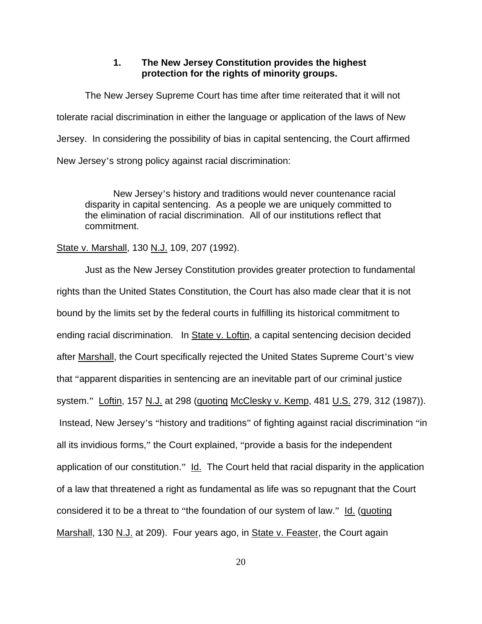#### **1. The New Jersey Constitution provides the highest protection for the rights of minority groups.**

The New Jersey Supreme Court has time after time reiterated that it will not tolerate racial discrimination in either the language or application of the laws of New Jersey. In considering the possibility of bias in capital sentencing, the Court affirmed New Jersey's strong policy against racial discrimination:

New Jersey's history and traditions would never countenance racial disparity in capital sentencing. As a people we are uniquely committed to the elimination of racial discrimination. All of our institutions reflect that commitment.

#### State v. Marshall, 130 N.J. 109, 207 (1992).

Just as the New Jersey Constitution provides greater protection to fundamental rights than the United States Constitution, the Court has also made clear that it is not bound by the limits set by the federal courts in fulfilling its historical commitment to ending racial discrimination. In State v. Loftin, a capital sentencing decision decided after Marshall, the Court specifically rejected the United States Supreme Court's view that "apparent disparities in sentencing are an inevitable part of our criminal justice system." Loftin, 157 N.J. at 298 (quoting McClesky v. Kemp, 481 U.S. 279, 312 (1987)). Instead, New Jersey's "history and traditions" of fighting against racial discrimination "in all its invidious forms," the Court explained, "provide a basis for the independent application of our constitution." Id. The Court held that racial disparity in the application of a law that threatened a right as fundamental as life was so repugnant that the Court considered it to be a threat to "the foundation of our system of law." Id. (quoting Marshall, 130 N.J. at 209). Four years ago, in State v. Feaster, the Court again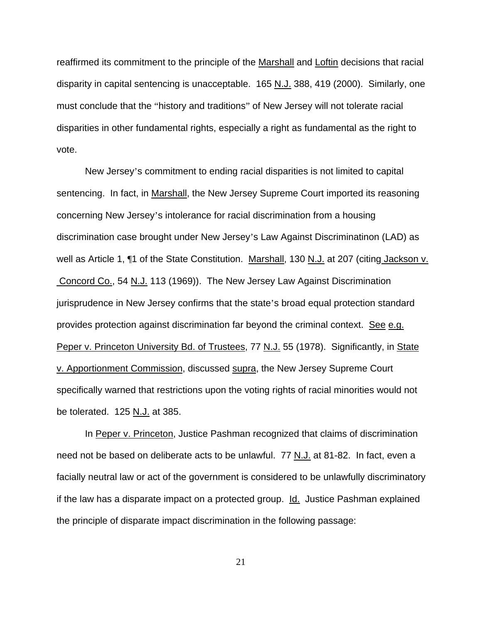reaffirmed its commitment to the principle of the Marshall and Loftin decisions that racial disparity in capital sentencing is unacceptable. 165 N.J. 388, 419 (2000). Similarly, one must conclude that the "history and traditions" of New Jersey will not tolerate racial disparities in other fundamental rights, especially a right as fundamental as the right to vote.

New Jersey's commitment to ending racial disparities is not limited to capital sentencing. In fact, in Marshall, the New Jersey Supreme Court imported its reasoning concerning New Jersey's intolerance for racial discrimination from a housing discrimination case brought under New Jersey's Law Against Discriminatinon (LAD) as well as Article 1, ¶1 of the State Constitution. Marshall, 130 N.J. at 207 (citing Jackson v. Concord Co., 54 N.J. 113 (1969)). The New Jersey Law Against Discrimination jurisprudence in New Jersey confirms that the state's broad equal protection standard provides protection against discrimination far beyond the criminal context. See e.g. Peper v. Princeton University Bd. of Trustees, 77 N.J. 55 (1978). Significantly, in State v. Apportionment Commission, discussed supra, the New Jersey Supreme Court specifically warned that restrictions upon the voting rights of racial minorities would not be tolerated. 125 N.J. at 385.

In Peper v. Princeton, Justice Pashman recognized that claims of discrimination need not be based on deliberate acts to be unlawful. 77 N.J. at 81-82. In fact, even a facially neutral law or act of the government is considered to be unlawfully discriminatory if the law has a disparate impact on a protected group. Id. Justice Pashman explained the principle of disparate impact discrimination in the following passage: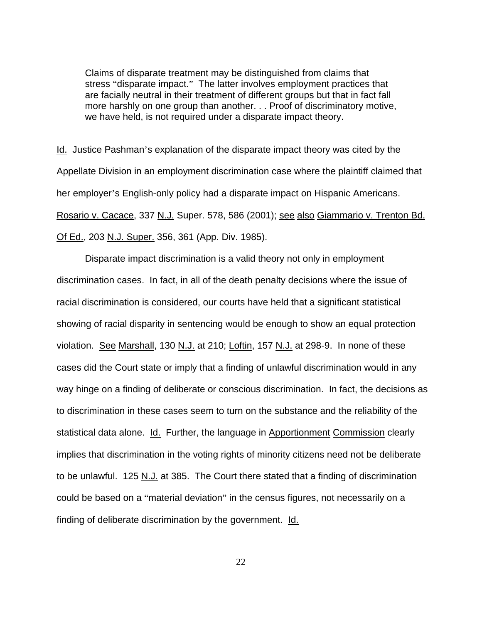Claims of disparate treatment may be distinguished from claims that stress "disparate impact." The latter involves employment practices that are facially neutral in their treatment of different groups but that in fact fall more harshly on one group than another. . . Proof of discriminatory motive, we have held, is not required under a disparate impact theory.

Id. Justice Pashman's explanation of the disparate impact theory was cited by the Appellate Division in an employment discrimination case where the plaintiff claimed that her employer's English-only policy had a disparate impact on Hispanic Americans. Rosario v. Cacace, 337 N.J. Super. 578, 586 (2001); see also Giammario v. Trenton Bd. Of Ed., 203 N.J. Super. 356, 361 (App. Div. 1985).

Disparate impact discrimination is a valid theory not only in employment discrimination cases. In fact, in all of the death penalty decisions where the issue of racial discrimination is considered, our courts have held that a significant statistical showing of racial disparity in sentencing would be enough to show an equal protection violation. See Marshall, 130 N.J. at 210; Loftin, 157 N.J. at 298-9. In none of these cases did the Court state or imply that a finding of unlawful discrimination would in any way hinge on a finding of deliberate or conscious discrimination. In fact, the decisions as to discrimination in these cases seem to turn on the substance and the reliability of the statistical data alone. Id. Further, the language in Apportionment Commission clearly implies that discrimination in the voting rights of minority citizens need not be deliberate to be unlawful. 125 N.J. at 385. The Court there stated that a finding of discrimination could be based on a "material deviation" in the census figures, not necessarily on a finding of deliberate discrimination by the government. Id.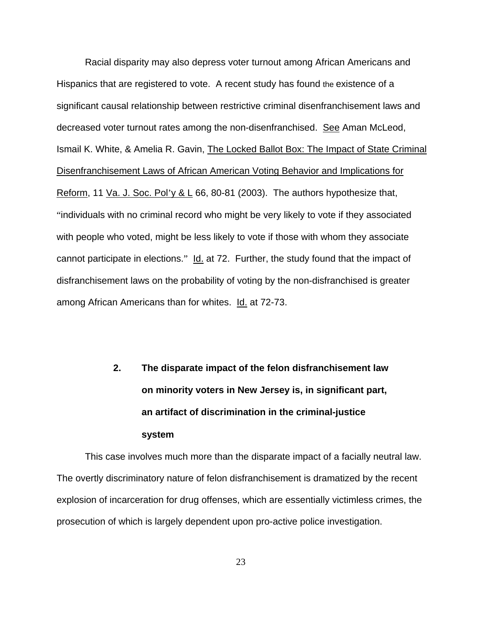Racial disparity may also depress voter turnout among African Americans and Hispanics that are registered to vote. A recent study has found the existence of a significant causal relationship between restrictive criminal disenfranchisement laws and decreased voter turnout rates among the non-disenfranchised. See Aman McLeod, Ismail K. White, & Amelia R. Gavin, The Locked Ballot Box: The Impact of State Criminal Disenfranchisement Laws of African American Voting Behavior and Implications for Reform, 11 Va. J. Soc. Pol'y & L 66, 80-81 (2003). The authors hypothesize that, "individuals with no criminal record who might be very likely to vote if they associated with people who voted, might be less likely to vote if those with whom they associate cannot participate in elections." Id. at 72. Further, the study found that the impact of disfranchisement laws on the probability of voting by the non-disfranchised is greater among African Americans than for whites. Id. at 72-73.

# **2. The disparate impact of the felon disfranchisement law on minority voters in New Jersey is, in significant part, an artifact of discrimination in the criminal-justice system**

This case involves much more than the disparate impact of a facially neutral law. The overtly discriminatory nature of felon disfranchisement is dramatized by the recent explosion of incarceration for drug offenses, which are essentially victimless crimes, the prosecution of which is largely dependent upon pro-active police investigation.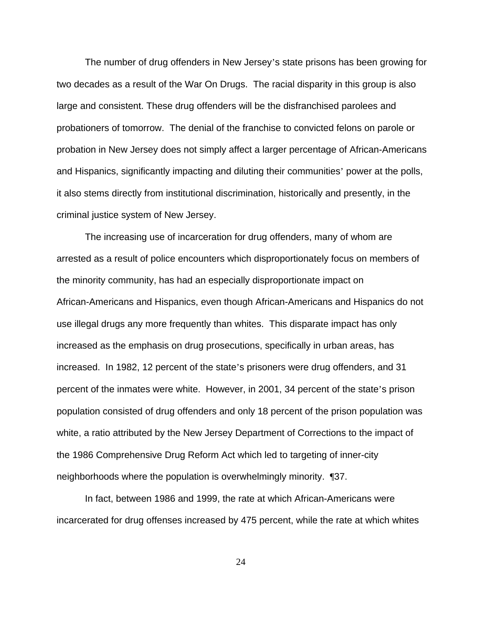The number of drug offenders in New Jersey's state prisons has been growing for two decades as a result of the War On Drugs. The racial disparity in this group is also large and consistent. These drug offenders will be the disfranchised parolees and probationers of tomorrow. The denial of the franchise to convicted felons on parole or probation in New Jersey does not simply affect a larger percentage of African-Americans and Hispanics, significantly impacting and diluting their communities' power at the polls, it also stems directly from institutional discrimination, historically and presently, in the criminal justice system of New Jersey.

The increasing use of incarceration for drug offenders, many of whom are arrested as a result of police encounters which disproportionately focus on members of the minority community, has had an especially disproportionate impact on African-Americans and Hispanics, even though African-Americans and Hispanics do not use illegal drugs any more frequently than whites. This disparate impact has only increased as the emphasis on drug prosecutions, specifically in urban areas, has increased. In 1982, 12 percent of the state's prisoners were drug offenders, and 31 percent of the inmates were white. However, in 2001, 34 percent of the state's prison population consisted of drug offenders and only 18 percent of the prison population was white, a ratio attributed by the New Jersey Department of Corrections to the impact of the 1986 Comprehensive Drug Reform Act which led to targeting of inner-city neighborhoods where the population is overwhelmingly minority. ¶37.

In fact, between 1986 and 1999, the rate at which African-Americans were incarcerated for drug offenses increased by 475 percent, while the rate at which whites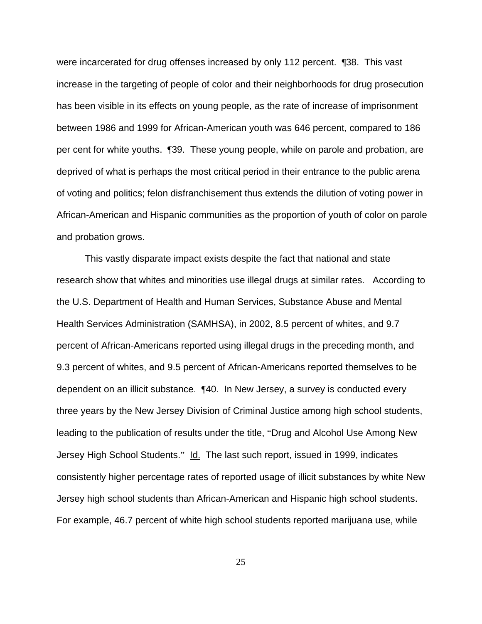were incarcerated for drug offenses increased by only 112 percent. ¶38. This vast increase in the targeting of people of color and their neighborhoods for drug prosecution has been visible in its effects on young people, as the rate of increase of imprisonment between 1986 and 1999 for African-American youth was 646 percent, compared to 186 per cent for white youths. ¶39. These young people, while on parole and probation, are deprived of what is perhaps the most critical period in their entrance to the public arena of voting and politics; felon disfranchisement thus extends the dilution of voting power in African-American and Hispanic communities as the proportion of youth of color on parole and probation grows.

This vastly disparate impact exists despite the fact that national and state research show that whites and minorities use illegal drugs at similar rates. According to the U.S. Department of Health and Human Services, Substance Abuse and Mental Health Services Administration (SAMHSA), in 2002, 8.5 percent of whites, and 9.7 percent of African-Americans reported using illegal drugs in the preceding month, and 9.3 percent of whites, and 9.5 percent of African-Americans reported themselves to be dependent on an illicit substance. ¶40. In New Jersey, a survey is conducted every three years by the New Jersey Division of Criminal Justice among high school students, leading to the publication of results under the title, "Drug and Alcohol Use Among New Jersey High School Students." Id. The last such report, issued in 1999, indicates consistently higher percentage rates of reported usage of illicit substances by white New Jersey high school students than African-American and Hispanic high school students. For example, 46.7 percent of white high school students reported marijuana use, while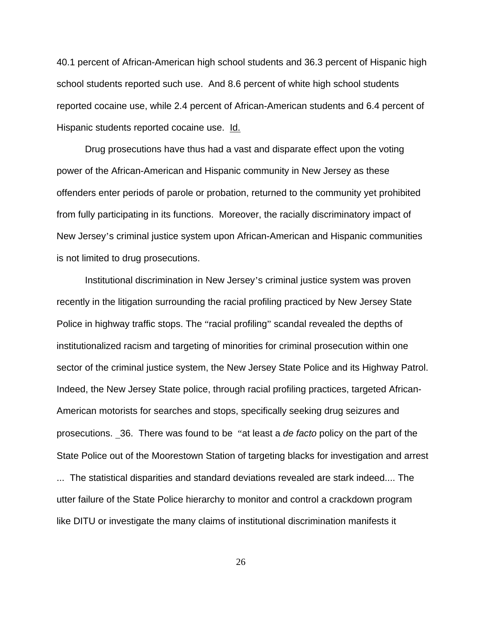40.1 percent of African-American high school students and 36.3 percent of Hispanic high school students reported such use. And 8.6 percent of white high school students reported cocaine use, while 2.4 percent of African-American students and 6.4 percent of Hispanic students reported cocaine use. Id.

Drug prosecutions have thus had a vast and disparate effect upon the voting power of the African-American and Hispanic community in New Jersey as these offenders enter periods of parole or probation, returned to the community yet prohibited from fully participating in its functions. Moreover, the racially discriminatory impact of New Jersey's criminal justice system upon African-American and Hispanic communities is not limited to drug prosecutions.

Institutional discrimination in New Jersey's criminal justice system was proven recently in the litigation surrounding the racial profiling practiced by New Jersey State Police in highway traffic stops. The "racial profiling" scandal revealed the depths of institutionalized racism and targeting of minorities for criminal prosecution within one sector of the criminal justice system, the New Jersey State Police and its Highway Patrol. Indeed, the New Jersey State police, through racial profiling practices, targeted African-American motorists for searches and stops, specifically seeking drug seizures and prosecutions. \_36. There was found to be "at least a *de facto* policy on the part of the State Police out of the Moorestown Station of targeting blacks for investigation and arrest ... The statistical disparities and standard deviations revealed are stark indeed.... The utter failure of the State Police hierarchy to monitor and control a crackdown program like DITU or investigate the many claims of institutional discrimination manifests it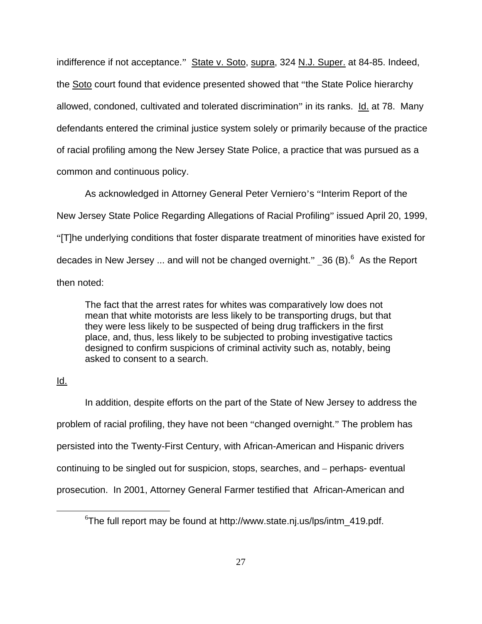indifference if not acceptance." State v. Soto, supra, 324 N.J. Super. at 84-85. Indeed, the Soto court found that evidence presented showed that "the State Police hierarchy allowed, condoned, cultivated and tolerated discrimination" in its ranks. Id. at 78. Many defendants entered the criminal justice system solely or primarily because of the practice of racial profiling among the New Jersey State Police, a practice that was pursued as a common and continuous policy.

As acknowledged in Attorney General Peter Verniero's "Interim Report of the New Jersey State Police Regarding Allegations of Racial Profiling" issued April 20, 1999, "[T]he underlying conditions that foster disparate treatment of minorities have existed for decades in New Jersey ... and will not be changed overnight."  $\_36$  $\_36$  (B).  $^6$  As the Report then noted:

The fact that the arrest rates for whites was comparatively low does not mean that white motorists are less likely to be transporting drugs, but that they were less likely to be suspected of being drug traffickers in the first place, and, thus, less likely to be subjected to probing investigative tactics designed to confirm suspicions of criminal activity such as, notably, being asked to consent to a search.

## Id.

In addition, despite efforts on the part of the State of New Jersey to address the problem of racial profiling, they have not been "changed overnight." The problem has persisted into the Twenty-First Century, with African-American and Hispanic drivers continuing to be singled out for suspicion, stops, searches, and – perhaps- eventual prosecution. In 2001, Attorney General Farmer testified that African-American and

<span id="page-38-0"></span> <sup>6</sup>  $6$ The full report may be found at http://www.state.nj.us/lps/intm 419.pdf.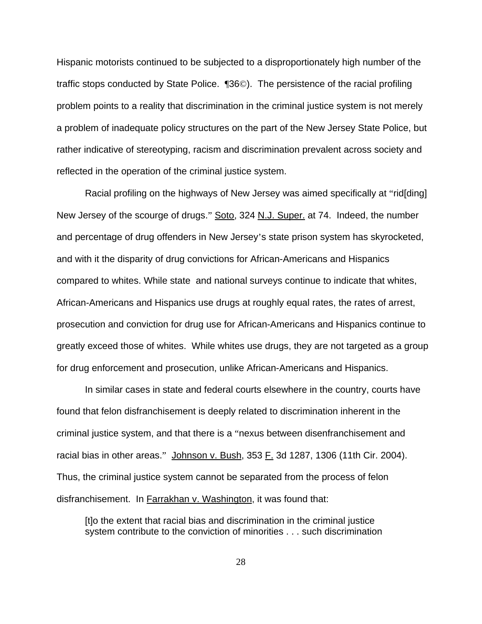Hispanic motorists continued to be subjected to a disproportionately high number of the traffic stops conducted by State Police. ¶36©). The persistence of the racial profiling problem points to a reality that discrimination in the criminal justice system is not merely a problem of inadequate policy structures on the part of the New Jersey State Police, but rather indicative of stereotyping, racism and discrimination prevalent across society and reflected in the operation of the criminal justice system.

Racial profiling on the highways of New Jersey was aimed specifically at "rid[ding] New Jersey of the scourge of drugs." Soto, 324 N.J. Super. at 74. Indeed, the number and percentage of drug offenders in New Jersey's state prison system has skyrocketed, and with it the disparity of drug convictions for African-Americans and Hispanics compared to whites. While state and national surveys continue to indicate that whites, African-Americans and Hispanics use drugs at roughly equal rates, the rates of arrest, prosecution and conviction for drug use for African-Americans and Hispanics continue to greatly exceed those of whites. While whites use drugs, they are not targeted as a group for drug enforcement and prosecution, unlike African-Americans and Hispanics.

In similar cases in state and federal courts elsewhere in the country, courts have found that felon disfranchisement is deeply related to discrimination inherent in the criminal justice system, and that there is a "nexus between disenfranchisement and racial bias in other areas." Johnson v. Bush, 353 F. 3d 1287, 1306 (11th Cir. 2004). Thus, the criminal justice system cannot be separated from the process of felon disfranchisement. In Farrakhan v. Washington, it was found that:

[t]o the extent that racial bias and discrimination in the criminal justice system contribute to the conviction of minorities . . . such discrimination